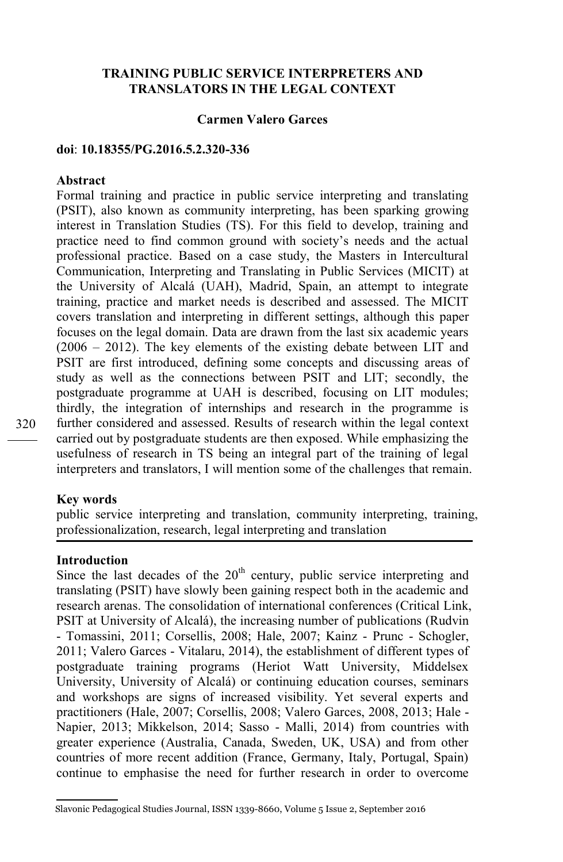# **TRAINING PUBLIC SERVICE INTERPRETERS AND TRANSLATORS IN THE LEGAL CONTEXT**

### **Carmen Valero Garces**

#### **doi**: **10.18355/PG.2016.5.2.320-336**

#### **Abstract**

Formal training and practice in public service interpreting and translating (PSIT), also known as community interpreting, has been sparking growing interest in Translation Studies (TS). For this field to develop, training and practice need to find common ground with society's needs and the actual professional practice. Based on a case study, the Masters in Intercultural Communication, Interpreting and Translating in Public Services (MICIT) at the University of Alcalá (UAH), Madrid, Spain, an attempt to integrate training, practice and market needs is described and assessed. The MICIT covers translation and interpreting in different settings, although this paper focuses on the legal domain. Data are drawn from the last six academic years  $(2006 - 2012)$ . The key elements of the existing debate between LIT and PSIT are first introduced, defining some concepts and discussing areas of study as well as the connections between PSIT and LIT; secondly, the postgraduate programme at UAH is described, focusing on LIT modules; thirdly, the integration of internships and research in the programme is further considered and assessed. Results of research within the legal context carried out by postgraduate students are then exposed. While emphasizing the usefulness of research in TS being an integral part of the training of legal interpreters and translators, I will mention some of the challenges that remain.

#### **Key words**

public service interpreting and translation, community interpreting, training, professionalization, research, legal interpreting and translation

# **Introduction**

Since the last decades of the  $20<sup>th</sup>$  century, public service interpreting and translating (PSIT) have slowly been gaining respect both in the academic and research arenas. The consolidation of international conferences (Critical Link, PSIT at University of Alcalá), the increasing number of publications (Rudvin - Tomassini, 2011; Corsellis, 2008; Hale, 2007; Kainz - Prunc - Schogler, 2011; Valero Garces - Vitalaru, 2014), the establishment of different types of postgraduate training programs (Heriot Watt University, Middelsex University, University of Alcalá) or continuing education courses, seminars and workshops are signs of increased visibility. Yet several experts and practitioners (Hale, 2007; Corsellis, 2008; Valero Garces, 2008, 2013; Hale - Napier, 2013; Mikkelson, 2014; Sasso - Malli, 2014) from countries with greater experience (Australia, Canada, Sweden, UK, USA) and from other countries of more recent addition (France, Germany, Italy, Portugal, Spain) continue to emphasise the need for further research in order to overcome

Slavonic Pedagogical Studies Journal, ISSN 1339-8660, Volume 5 Issue 2, September 2016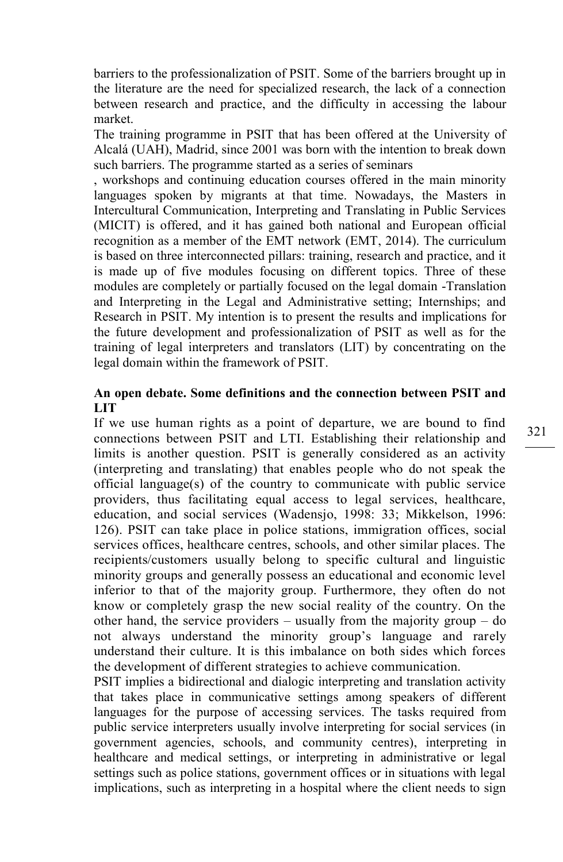barriers to the professionalization of PSIT. Some of the barriers brought up in the literature are the need for specialized research, the lack of a connection between research and practice, and the difficulty in accessing the labour market.

The training programme in PSIT that has been offered at the University of Alcalá (UAH), Madrid, since 2001 was born with the intention to break down such barriers. The programme started as a series of seminars

, workshops and continuing education courses offered in the main minority languages spoken by migrants at that time. Nowadays, the Masters in Intercultural Communication, Interpreting and Translating in Public Services (MICIT) is offered, and it has gained both national and European official recognition as a member of the EMT network (EMT, 2014). The curriculum is based on three interconnected pillars: training, research and practice, and it is made up of five modules focusing on different topics. Three of these modules are completely or partially focused on the legal domain -Translation and Interpreting in the Legal and Administrative setting; Internships; and Research in PSIT. My intention is to present the results and implications for the future development and professionalization of PSIT as well as for the training of legal interpreters and translators (LIT) by concentrating on the legal domain within the framework of PSIT.

# **An open debate. Some definitions and the connection between PSIT and LIT**

If we use human rights as a point of departure, we are bound to find connections between PSIT and LTI. Establishing their relationship and limits is another question. PSIT is generally considered as an activity (interpreting and translating) that enables people who do not speak the official language(s) of the country to communicate with public service providers, thus facilitating equal access to legal services, healthcare, education, and social services (Wadensjo, 1998: 33; Mikkelson, 1996: 126). PSIT can take place in police stations, immigration offices, social services offices, healthcare centres, schools, and other similar places. The recipients/customers usually belong to specific cultural and linguistic minority groups and generally possess an educational and economic level inferior to that of the majority group. Furthermore, they often do not know or completely grasp the new social reality of the country. On the other hand, the service providers – usually from the majority group – do not always understand the minority group's language and rarely understand their culture. It is this imbalance on both sides which forces the development of different strategies to achieve communication.

PSIT implies a bidirectional and dialogic interpreting and translation activity that takes place in communicative settings among speakers of different languages for the purpose of accessing services. The tasks required from public service interpreters usually involve interpreting for social services (in government agencies, schools, and community centres), interpreting in healthcare and medical settings, or interpreting in administrative or legal settings such as police stations, government offices or in situations with legal implications, such as interpreting in a hospital where the client needs to sign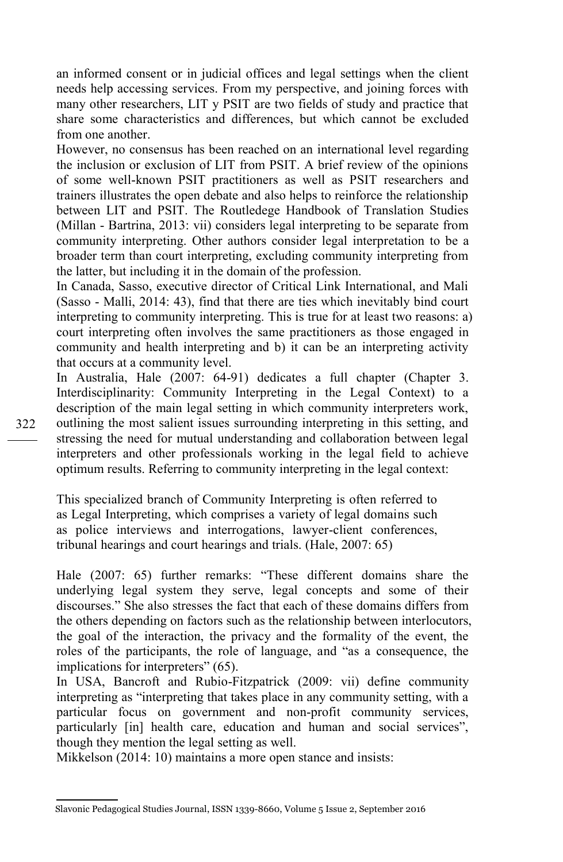an informed consent or in judicial offices and legal settings when the client needs help accessing services. From my perspective, and joining forces with many other researchers, LIT y PSIT are two fields of study and practice that share some characteristics and differences, but which cannot be excluded from one another.

However, no consensus has been reached on an international level regarding the inclusion or exclusion of LIT from PSIT. A brief review of the opinions of some well-known PSIT practitioners as well as PSIT researchers and trainers illustrates the open debate and also helps to reinforce the relationship between LIT and PSIT. The Routledege Handbook of Translation Studies (Millan - Bartrina, 2013: vii) considers legal interpreting to be separate from community interpreting. Other authors consider legal interpretation to be a broader term than court interpreting, excluding community interpreting from the latter, but including it in the domain of the profession.

In Canada, Sasso, executive director of Critical Link International, and Mali (Sasso - Malli, 2014: 43), find that there are ties which inevitably bind court interpreting to community interpreting. This is true for at least two reasons: a) court interpreting often involves the same practitioners as those engaged in community and health interpreting and b) it can be an interpreting activity that occurs at a community level.

In Australia, Hale (2007: 64-91) dedicates a full chapter (Chapter 3. Interdisciplinarity: Community Interpreting in the Legal Context) to a description of the main legal setting in which community interpreters work, outlining the most salient issues surrounding interpreting in this setting, and stressing the need for mutual understanding and collaboration between legal interpreters and other professionals working in the legal field to achieve optimum results. Referring to community interpreting in the legal context:

This specialized branch of Community Interpreting is often referred to as Legal Interpreting, which comprises a variety of legal domains such as police interviews and interrogations, lawyer-client conferences, tribunal hearings and court hearings and trials. (Hale, 2007: 65)

Hale (2007: 65) further remarks: "These different domains share the underlying legal system they serve, legal concepts and some of their discourses." She also stresses the fact that each of these domains differs from the others depending on factors such as the relationship between interlocutors, the goal of the interaction, the privacy and the formality of the event, the roles of the participants, the role of language, and "as a consequence, the implications for interpreters" (65).

In USA, Bancroft and Rubio-Fitzpatrick (2009: vii) define community interpreting as "interpreting that takes place in any community setting, with a particular focus on government and non-profit community services, particularly [in] health care, education and human and social services", though they mention the legal setting as well.

Mikkelson (2014: 10) maintains a more open stance and insists:

Slavonic Pedagogical Studies Journal, ISSN 1339-8660, Volume 5 Issue 2, September 2016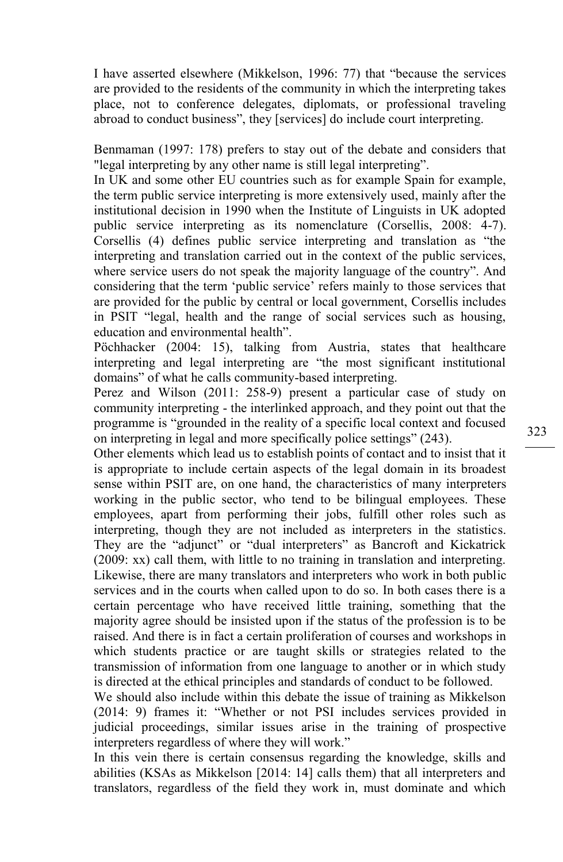I have asserted elsewhere (Mikkelson, 1996: 77) that "because the services are provided to the residents of the community in which the interpreting takes place, not to conference delegates, diplomats, or professional traveling abroad to conduct business", they [services] do include court interpreting.

Benmaman (1997: 178) prefers to stay out of the debate and considers that "legal interpreting by any other name is still legal interpreting".

In UK and some other EU countries such as for example Spain for example, the term public service interpreting is more extensively used, mainly after the institutional decision in 1990 when the Institute of Linguists in UK adopted public service interpreting as its nomenclature (Corsellis, 2008: 4-7). Corsellis (4) defines public service interpreting and translation as "the interpreting and translation carried out in the context of the public services, where service users do not speak the majority language of the country". And considering that the term 'public service' refers mainly to those services that are provided for the public by central or local government, Corsellis includes in PSIT "legal, health and the range of social services such as housing, education and environmental health".

Pöchhacker (2004: 15), talking from Austria, states that healthcare interpreting and legal interpreting are "the most significant institutional domains" of what he calls community-based interpreting.

Perez and Wilson (2011: 258-9) present a particular case of study on community interpreting - the interlinked approach, and they point out that the programme is "grounded in the reality of a specific local context and focused on interpreting in legal and more specifically police settings" (243).

Other elements which lead us to establish points of contact and to insist that it is appropriate to include certain aspects of the legal domain in its broadest sense within PSIT are, on one hand, the characteristics of many interpreters working in the public sector, who tend to be bilingual employees. These employees, apart from performing their jobs, fulfill other roles such as interpreting, though they are not included as interpreters in the statistics. They are the "adjunct" or "dual interpreters" as Bancroft and Kickatrick (2009: xx) call them, with little to no training in translation and interpreting. Likewise, there are many translators and interpreters who work in both public services and in the courts when called upon to do so. In both cases there is a certain percentage who have received little training, something that the majority agree should be insisted upon if the status of the profession is to be raised. And there is in fact a certain proliferation of courses and workshops in which students practice or are taught skills or strategies related to the transmission of information from one language to another or in which study is directed at the ethical principles and standards of conduct to be followed.

We should also include within this debate the issue of training as Mikkelson (2014: 9) frames it: "Whether or not PSI includes services provided in judicial proceedings, similar issues arise in the training of prospective interpreters regardless of where they will work."

In this vein there is certain consensus regarding the knowledge, skills and abilities (KSAs as Mikkelson [2014: 14] calls them) that all interpreters and translators, regardless of the field they work in, must dominate and which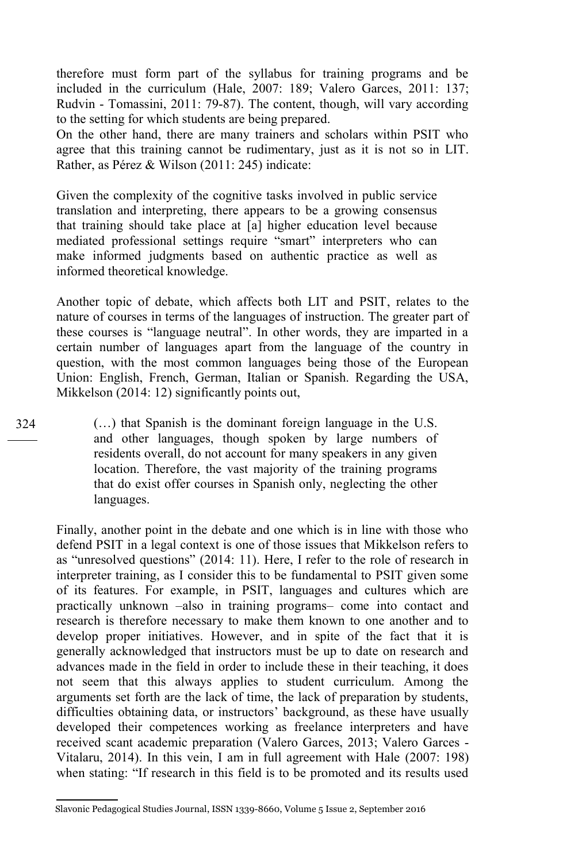therefore must form part of the syllabus for training programs and be included in the curriculum (Hale, 2007: 189; Valero Garces, 2011: 137; Rudvin - Tomassini, 2011: 79-87). The content, though, will vary according to the setting for which students are being prepared.

On the other hand, there are many trainers and scholars within PSIT who agree that this training cannot be rudimentary, just as it is not so in LIT. Rather, as Pérez & Wilson (2011: 245) indicate:

Given the complexity of the cognitive tasks involved in public service translation and interpreting, there appears to be a growing consensus that training should take place at [a] higher education level because mediated professional settings require "smart" interpreters who can make informed judgments based on authentic practice as well as informed theoretical knowledge.

Another topic of debate, which affects both LIT and PSIT, relates to the nature of courses in terms of the languages of instruction. The greater part of these courses is "language neutral". In other words, they are imparted in a certain number of languages apart from the language of the country in question, with the most common languages being those of the European Union: English, French, German, Italian or Spanish. Regarding the USA, Mikkelson (2014: 12) significantly points out,

(…) that Spanish is the dominant foreign language in the U.S. and other languages, though spoken by large numbers of residents overall, do not account for many speakers in any given location. Therefore, the vast majority of the training programs that do exist offer courses in Spanish only, neglecting the other languages.

Finally, another point in the debate and one which is in line with those who defend PSIT in a legal context is one of those issues that Mikkelson refers to as "unresolved questions" (2014: 11). Here, I refer to the role of research in interpreter training, as I consider this to be fundamental to PSIT given some of its features. For example, in PSIT, languages and cultures which are practically unknown –also in training programs– come into contact and research is therefore necessary to make them known to one another and to develop proper initiatives. However, and in spite of the fact that it is generally acknowledged that instructors must be up to date on research and advances made in the field in order to include these in their teaching, it does not seem that this always applies to student curriculum. Among the arguments set forth are the lack of time, the lack of preparation by students, difficulties obtaining data, or instructors' background, as these have usually developed their competences working as freelance interpreters and have received scant academic preparation (Valero Garces, 2013; Valero Garces - Vitalaru, 2014). In this vein, I am in full agreement with Hale (2007: 198) when stating: "If research in this field is to be promoted and its results used

Slavonic Pedagogical Studies Journal, ISSN 1339-8660, Volume 5 Issue 2, September 2016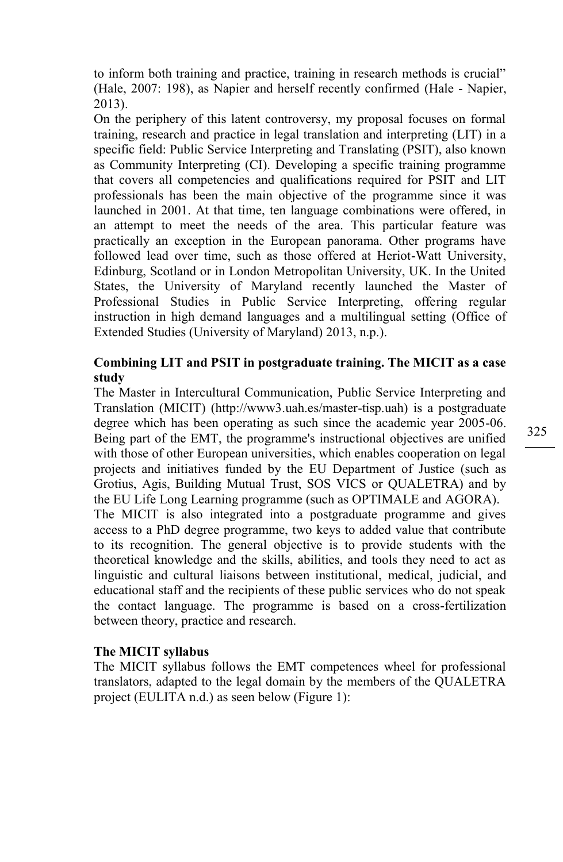to inform both training and practice, training in research methods is crucial" (Hale, 2007: 198), as Napier and herself recently confirmed (Hale - Napier, 2013).

On the periphery of this latent controversy, my proposal focuses on formal training, research and practice in legal translation and interpreting (LIT) in a specific field: Public Service Interpreting and Translating (PSIT), also known as Community Interpreting (CI). Developing a specific training programme that covers all competencies and qualifications required for PSIT and LIT professionals has been the main objective of the programme since it was launched in 2001. At that time, ten language combinations were offered, in an attempt to meet the needs of the area. This particular feature was practically an exception in the European panorama. Other programs have followed lead over time, such as those offered at Heriot-Watt University, Edinburg, Scotland or in London Metropolitan University, UK. In the United States, the University of Maryland recently launched the Master of Professional Studies in Public Service Interpreting, offering regular instruction in high demand languages and a multilingual setting (Office of Extended Studies (University of Maryland) 2013, n.p.).

# **Combining LIT and PSIT in postgraduate training. The MICIT as a case study**

The Master in Intercultural Communication, Public Service Interpreting and Translation (MICIT) (http://www3.uah.es/master-tisp.uah) is a postgraduate degree which has been operating as such since the academic year 2005-06. Being part of the EMT, the programme's instructional objectives are unified with those of other European universities, which enables cooperation on legal projects and initiatives funded by the EU Department of Justice (such as Grotius, Agis, Building Mutual Trust, SOS VICS or QUALETRA) and by the EU Life Long Learning programme (such as OPTIMALE and AGORA). The MICIT is also integrated into a postgraduate programme and gives access to a PhD degree programme, two keys to added value that contribute to its recognition. The general objective is to provide students with the theoretical knowledge and the skills, abilities, and tools they need to act as linguistic and cultural liaisons between institutional, medical, judicial, and educational staff and the recipients of these public services who do not speak the contact language. The programme is based on a cross-fertilization between theory, practice and research.

### **The MICIT syllabus**

The MICIT syllabus follows the EMT competences wheel for professional translators, adapted to the legal domain by the members of the QUALETRA project (EULITA n.d.) as seen below (Figure 1):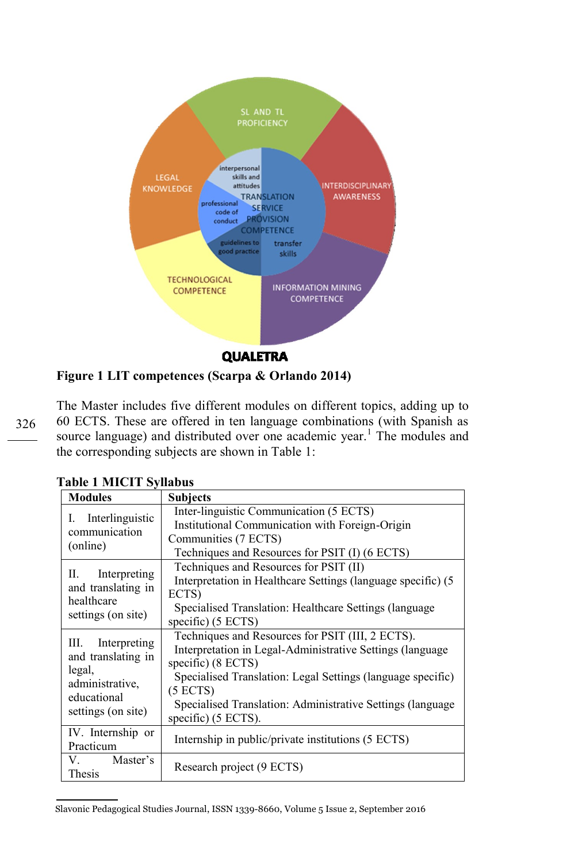

**Figure 1 LIT competences (Scarpa & Orlando 2014)** 

326

The Master includes five different modules on different topics, adding up to 60 ECTS. These are offered in ten language combinations (with Spanish as source language) and distributed over one academic year.<sup>1</sup> The modules and the corresponding subjects are shown in Table 1:

| <b>Modules</b>                                                                                            | <b>Subjects</b>                                                                                                                                                                                                                                                                                            |
|-----------------------------------------------------------------------------------------------------------|------------------------------------------------------------------------------------------------------------------------------------------------------------------------------------------------------------------------------------------------------------------------------------------------------------|
| Interlinguistic<br>I.<br>communication<br>(online)                                                        | Inter-linguistic Communication (5 ECTS)<br>Institutional Communication with Foreign-Origin<br>Communities (7 ECTS)<br>Techniques and Resources for PSIT (I) (6 ECTS)                                                                                                                                       |
| Interpreting<br>П.<br>and translating in<br>healthcare<br>settings (on site)                              | Techniques and Resources for PSIT (II)<br>Interpretation in Healthcare Settings (language specific) (5<br>ECTS)<br>Specialised Translation: Healthcare Settings (language)<br>specific) $(5 ECTS)$                                                                                                         |
| III. Interpreting<br>and translating in<br>legal,<br>administrative,<br>educational<br>settings (on site) | Techniques and Resources for PSIT (III, 2 ECTS).<br>Interpretation in Legal-Administrative Settings (language)<br>specific) $(8 ECTS)$<br>Specialised Translation: Legal Settings (language specific)<br>(5 ECTS)<br>Specialised Translation: Administrative Settings (language)<br>specific) $(5 ECTS)$ . |
| IV. Internship or<br>Practicum                                                                            | Internship in public/private institutions (5 ECTS)                                                                                                                                                                                                                                                         |
| V. Master's<br>Thesis                                                                                     | Research project (9 ECTS)                                                                                                                                                                                                                                                                                  |

**Table 1 MICIT Syllabus**

Slavonic Pedagogical Studies Journal, ISSN 1339-8660, Volume 5 Issue 2, September 2016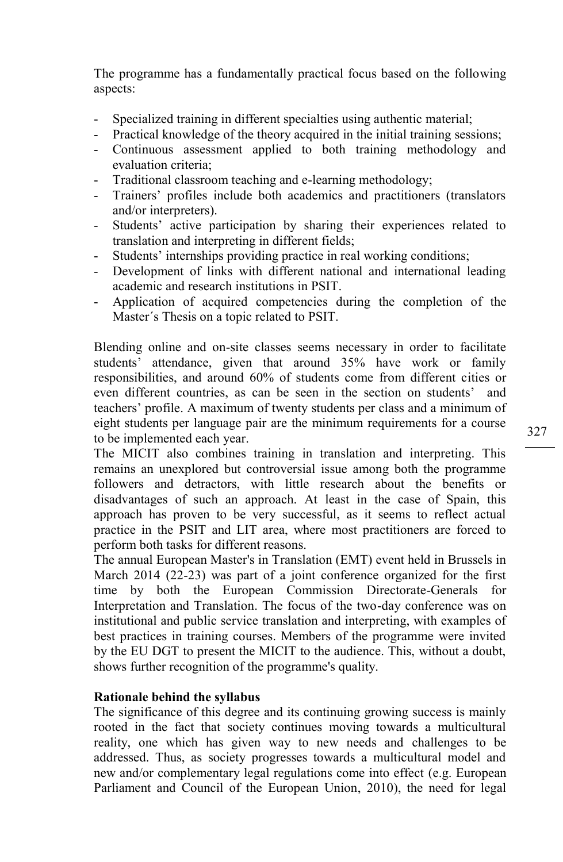The programme has a fundamentally practical focus based on the following aspects:

- Specialized training in different specialties using authentic material;
- Practical knowledge of the theory acquired in the initial training sessions;
- Continuous assessment applied to both training methodology and evaluation criteria;
- Traditional classroom teaching and e-learning methodology;
- Trainers' profiles include both academics and practitioners (translators and/or interpreters).
- Students' active participation by sharing their experiences related to translation and interpreting in different fields;
- Students' internships providing practice in real working conditions;
- Development of links with different national and international leading academic and research institutions in PSIT.
- Application of acquired competencies during the completion of the Master´s Thesis on a topic related to PSIT.

Blending online and on-site classes seems necessary in order to facilitate students' attendance, given that around 35% have work or family responsibilities, and around 60% of students come from different cities or even different countries, as can be seen in the section on students' and teachers' profile. A maximum of twenty students per class and a minimum of eight students per language pair are the minimum requirements for a course to be implemented each year.

The MICIT also combines training in translation and interpreting. This remains an unexplored but controversial issue among both the programme followers and detractors, with little research about the benefits or disadvantages of such an approach. At least in the case of Spain, this approach has proven to be very successful, as it seems to reflect actual practice in the PSIT and LIT area, where most practitioners are forced to perform both tasks for different reasons.

The annual European Master's in Translation (EMT) event held in Brussels in March 2014 (22-23) was part of a joint conference organized for the first time by both the European Commission Directorate-Generals for Interpretation and Translation. The focus of the two-day conference was on institutional and public service translation and interpreting, with examples of best practices in training courses. Members of the programme were invited by the EU DGT to present the MICIT to the audience. This, without a doubt, shows further recognition of the programme's quality.

### **Rationale behind the syllabus**

The significance of this degree and its continuing growing success is mainly rooted in the fact that society continues moving towards a multicultural reality, one which has given way to new needs and challenges to be addressed. Thus, as society progresses towards a multicultural model and new and/or complementary legal regulations come into effect (e.g. European Parliament and Council of the European Union, 2010), the need for legal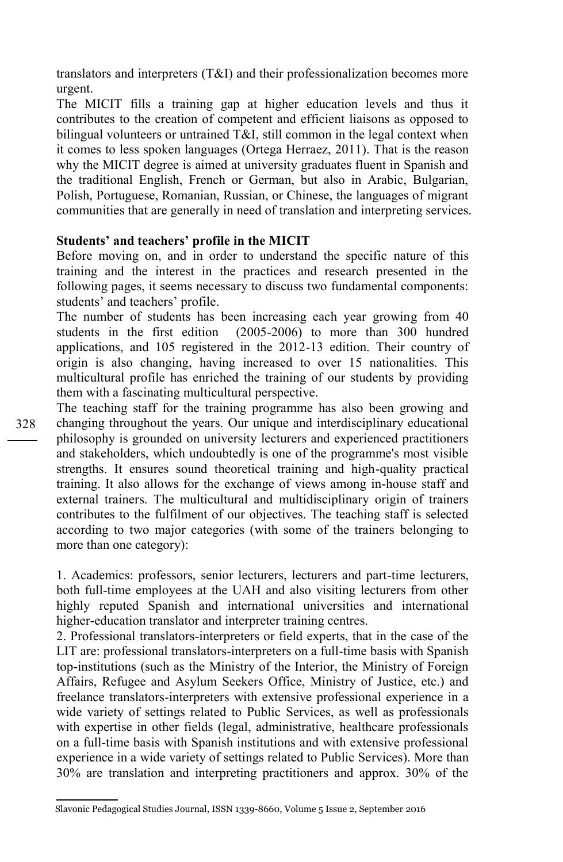translators and interpreters (T&I) and their professionalization becomes more urgent.

The MICIT fills a training gap at higher education levels and thus it contributes to the creation of competent and efficient liaisons as opposed to bilingual volunteers or untrained T&I, still common in the legal context when it comes to less spoken languages (Ortega Herraez, 2011). That is the reason why the MICIT degree is aimed at university graduates fluent in Spanish and the traditional English, French or German, but also in Arabic, Bulgarian, Polish, Portuguese, Romanian, Russian, or Chinese, the languages of migrant communities that are generally in need of translation and interpreting services.

### **Students' and teachers' profile in the MICIT**

Before moving on, and in order to understand the specific nature of this training and the interest in the practices and research presented in the following pages, it seems necessary to discuss two fundamental components: students' and teachers' profile.

The number of students has been increasing each year growing from 40 students in the first edition (2005-2006) to more than 300 hundred applications, and 105 registered in the 2012-13 edition. Their country of origin is also changing, having increased to over 15 nationalities. This multicultural profile has enriched the training of our students by providing them with a fascinating multicultural perspective.

The teaching staff for the training programme has also been growing and changing throughout the years. Our unique and interdisciplinary educational philosophy is grounded on university lecturers and experienced practitioners and stakeholders, which undoubtedly is one of the programme's most visible strengths. It ensures sound theoretical training and high-quality practical training. It also allows for the exchange of views among in-house staff and external trainers. The multicultural and multidisciplinary origin of trainers contributes to the fulfilment of our objectives. The teaching staff is selected according to two major categories (with some of the trainers belonging to more than one category):

1. Academics: professors, senior lecturers, lecturers and part-time lecturers, both full-time employees at the UAH and also visiting lecturers from other highly reputed Spanish and international universities and international higher-education translator and interpreter training centres.

2. Professional translators-interpreters or field experts, that in the case of the LIT are: professional translators-interpreters on a full-time basis with Spanish top-institutions (such as the Ministry of the Interior, the Ministry of Foreign Affairs, Refugee and Asylum Seekers Office, Ministry of Justice, etc.) and freelance translators-interpreters with extensive professional experience in a wide variety of settings related to Public Services, as well as professionals with expertise in other fields (legal, administrative, healthcare professionals on a full-time basis with Spanish institutions and with extensive professional experience in a wide variety of settings related to Public Services). More than 30% are translation and interpreting practitioners and approx. 30% of the

Slavonic Pedagogical Studies Journal, ISSN 1339-8660, Volume 5 Issue 2, September 2016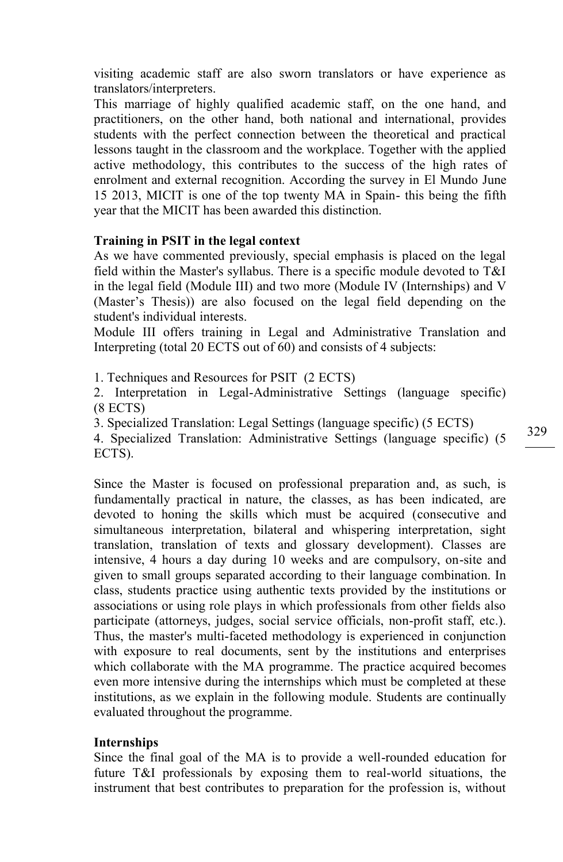visiting academic staff are also sworn translators or have experience as translators/interpreters.

This marriage of highly qualified academic staff, on the one hand, and practitioners, on the other hand, both national and international, provides students with the perfect connection between the theoretical and practical lessons taught in the classroom and the workplace. Together with the applied active methodology, this contributes to the success of the high rates of enrolment and external recognition. According the survey in El Mundo June 15 2013, MICIT is one of the top twenty MA in Spain- this being the fifth year that the MICIT has been awarded this distinction.

#### **Training in PSIT in the legal context**

As we have commented previously, special emphasis is placed on the legal field within the Master's syllabus. There is a specific module devoted to T&I in the legal field (Module III) and two more (Module IV (Internships) and V (Master's Thesis)) are also focused on the legal field depending on the student's individual interests.

Module III offers training in Legal and Administrative Translation and Interpreting (total 20 ECTS out of 60) and consists of 4 subjects:

1. Techniques and Resources for PSIT (2 ECTS)

2. Interpretation in Legal-Administrative Settings (language specific) (8 ECTS)

3. Specialized Translation: Legal Settings (language specific) (5 ECTS)

4. Specialized Translation: Administrative Settings (language specific) (5 ECTS).

Since the Master is focused on professional preparation and, as such, is fundamentally practical in nature, the classes, as has been indicated, are devoted to honing the skills which must be acquired (consecutive and simultaneous interpretation, bilateral and whispering interpretation, sight translation, translation of texts and glossary development). Classes are intensive, 4 hours a day during 10 weeks and are compulsory, on-site and given to small groups separated according to their language combination. In class, students practice using authentic texts provided by the institutions or associations or using role plays in which professionals from other fields also participate (attorneys, judges, social service officials, non-profit staff, etc.). Thus, the master's multi-faceted methodology is experienced in conjunction with exposure to real documents, sent by the institutions and enterprises which collaborate with the MA programme. The practice acquired becomes even more intensive during the internships which must be completed at these institutions, as we explain in the following module. Students are continually evaluated throughout the programme.

#### **Internships**

Since the final goal of the MA is to provide a well-rounded education for future T&I professionals by exposing them to real-world situations, the instrument that best contributes to preparation for the profession is, without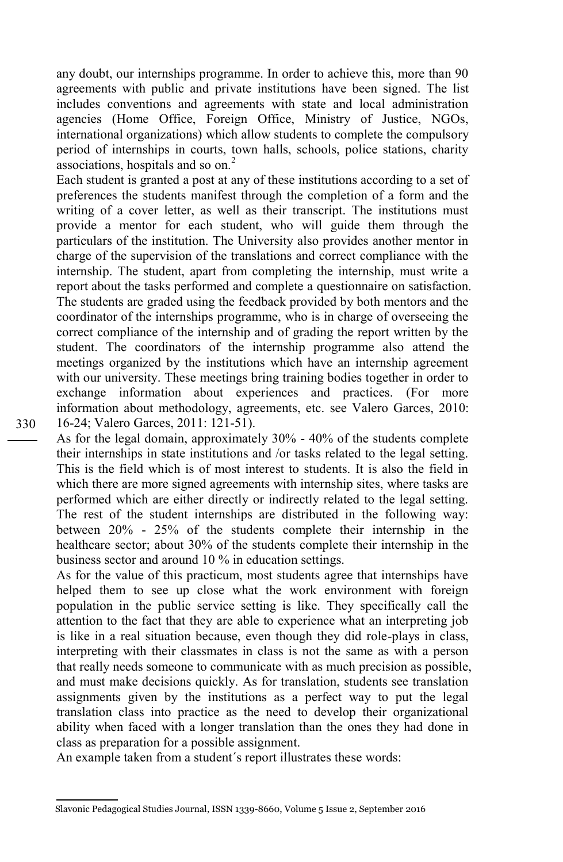any doubt, our internships programme. In order to achieve this, more than 90 agreements with public and private institutions have been signed. The list includes conventions and agreements with state and local administration agencies (Home Office, Foreign Office, Ministry of Justice, NGOs, international organizations) which allow students to complete the compulsory period of internships in courts, town halls, schools, police stations, charity associations, hospitals and so on. $<sup>2</sup>$ </sup>

Each student is granted a post at any of these institutions according to a set of preferences the students manifest through the completion of a form and the writing of a cover letter, as well as their transcript. The institutions must provide a mentor for each student, who will guide them through the particulars of the institution. The University also provides another mentor in charge of the supervision of the translations and correct compliance with the internship. The student, apart from completing the internship, must write a report about the tasks performed and complete a questionnaire on satisfaction. The students are graded using the feedback provided by both mentors and the coordinator of the internships programme, who is in charge of overseeing the correct compliance of the internship and of grading the report written by the student. The coordinators of the internship programme also attend the meetings organized by the institutions which have an internship agreement with our university. These meetings bring training bodies together in order to exchange information about experiences and practices. (For more information about methodology, agreements, etc. see Valero Garces, 2010: 16-24; Valero Garces, 2011: 121-51).

As for the legal domain, approximately 30% - 40% of the students complete their internships in state institutions and /or tasks related to the legal setting. This is the field which is of most interest to students. It is also the field in which there are more signed agreements with internship sites, where tasks are performed which are either directly or indirectly related to the legal setting. The rest of the student internships are distributed in the following way: between 20% - 25% of the students complete their internship in the healthcare sector; about 30% of the students complete their internship in the business sector and around 10 % in education settings.

As for the value of this practicum, most students agree that internships have helped them to see up close what the work environment with foreign population in the public service setting is like. They specifically call the attention to the fact that they are able to experience what an interpreting job is like in a real situation because, even though they did role-plays in class, interpreting with their classmates in class is not the same as with a person that really needs someone to communicate with as much precision as possible, and must make decisions quickly. As for translation, students see translation assignments given by the institutions as a perfect way to put the legal translation class into practice as the need to develop their organizational ability when faced with a longer translation than the ones they had done in class as preparation for a possible assignment.

An example taken from a student´s report illustrates these words:

Slavonic Pedagogical Studies Journal, ISSN 1339-8660, Volume 5 Issue 2, September 2016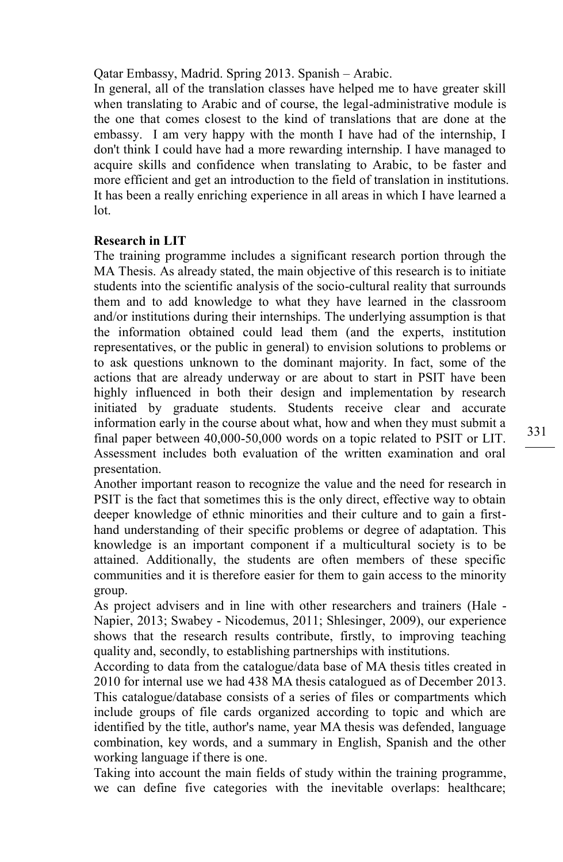Qatar Embassy, Madrid. Spring 2013. Spanish – Arabic.

In general, all of the translation classes have helped me to have greater skill when translating to Arabic and of course, the legal-administrative module is the one that comes closest to the kind of translations that are done at the embassy. I am very happy with the month I have had of the internship, I don't think I could have had a more rewarding internship. I have managed to acquire skills and confidence when translating to Arabic, to be faster and more efficient and get an introduction to the field of translation in institutions. It has been a really enriching experience in all areas in which I have learned a lot.

# **Research in LIT**

The training programme includes a significant research portion through the MA Thesis. As already stated, the main objective of this research is to initiate students into the scientific analysis of the socio-cultural reality that surrounds them and to add knowledge to what they have learned in the classroom and/or institutions during their internships. The underlying assumption is that the information obtained could lead them (and the experts, institution representatives, or the public in general) to envision solutions to problems or to ask questions unknown to the dominant majority. In fact, some of the actions that are already underway or are about to start in PSIT have been highly influenced in both their design and implementation by research initiated by graduate students. Students receive clear and accurate information early in the course about what, how and when they must submit a final paper between 40,000-50,000 words on a topic related to PSIT or LIT. Assessment includes both evaluation of the written examination and oral presentation.

Another important reason to recognize the value and the need for research in PSIT is the fact that sometimes this is the only direct, effective way to obtain deeper knowledge of ethnic minorities and their culture and to gain a firsthand understanding of their specific problems or degree of adaptation. This knowledge is an important component if a multicultural society is to be attained. Additionally, the students are often members of these specific communities and it is therefore easier for them to gain access to the minority group.

As project advisers and in line with other researchers and trainers (Hale - Napier, 2013; Swabey - Nicodemus, 2011; Shlesinger, 2009), our experience shows that the research results contribute, firstly, to improving teaching quality and, secondly, to establishing partnerships with institutions.

According to data from the catalogue/data base of MA thesis titles created in 2010 for internal use we had 438 MA thesis catalogued as of December 2013. This catalogue/database consists of a series of files or compartments which include groups of file cards organized according to topic and which are identified by the title, author's name, year MA thesis was defended, language combination, key words, and a summary in English, Spanish and the other working language if there is one.

Taking into account the main fields of study within the training programme, we can define five categories with the inevitable overlaps: healthcare;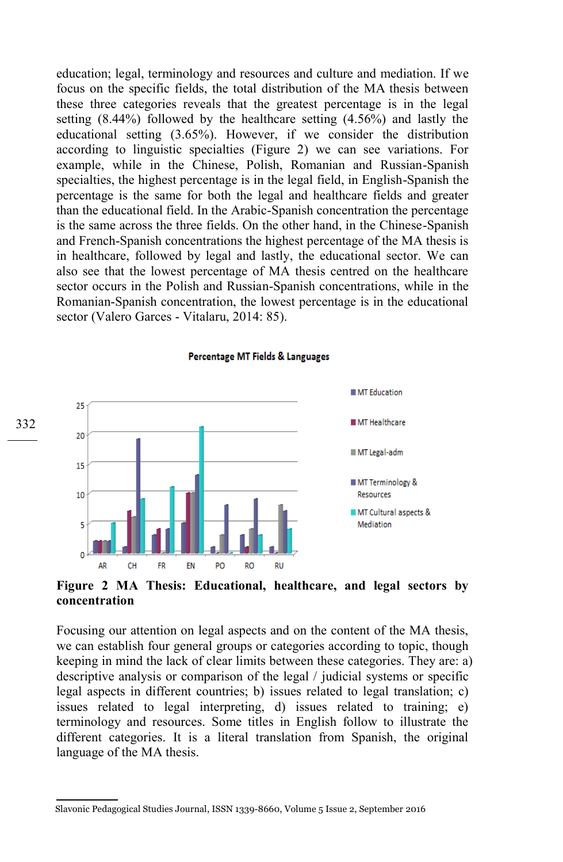education; legal, terminology and resources and culture and mediation. If we focus on the specific fields, the total distribution of the MA thesis between these three categories reveals that the greatest percentage is in the legal setting (8.44%) followed by the healthcare setting (4.56%) and lastly the educational setting (3.65%). However, if we consider the distribution according to linguistic specialties (Figure 2) we can see variations. For example, while in the Chinese, Polish, Romanian and Russian-Spanish specialties, the highest percentage is in the legal field, in English-Spanish the percentage is the same for both the legal and healthcare fields and greater than the educational field. In the Arabic-Spanish concentration the percentage is the same across the three fields. On the other hand, in the Chinese-Spanish and French-Spanish concentrations the highest percentage of the MA thesis is in healthcare, followed by legal and lastly, the educational sector. We can also see that the lowest percentage of MA thesis centred on the healthcare sector occurs in the Polish and Russian-Spanish concentrations, while in the Romanian-Spanish concentration, the lowest percentage is in the educational sector (Valero Garces - Vitalaru, 2014: 85).



Percentage MT Fields & Languages

**Figure 2 MA Thesis: Educational, healthcare, and legal sectors by concentration**

Focusing our attention on legal aspects and on the content of the MA thesis, we can establish four general groups or categories according to topic, though keeping in mind the lack of clear limits between these categories. They are: a) descriptive analysis or comparison of the legal / judicial systems or specific legal aspects in different countries; b) issues related to legal translation; c) issues related to legal interpreting, d) issues related to training; e) terminology and resources. Some titles in English follow to illustrate the different categories. It is a literal translation from Spanish, the original language of the MA thesis.

Slavonic Pedagogical Studies Journal, ISSN 1339-8660, Volume 5 Issue 2, September 2016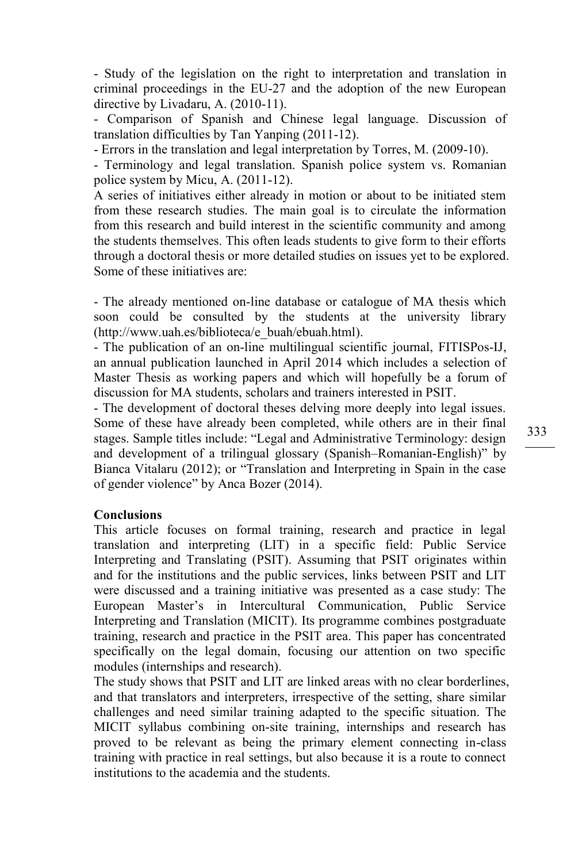- Study of the legislation on the right to interpretation and translation in criminal proceedings in the EU-27 and the adoption of the new European directive by Livadaru, A. (2010-11).

- Comparison of Spanish and Chinese legal language. Discussion of translation difficulties by Tan Yanping (2011-12).

- Errors in the translation and legal interpretation by Torres, M. (2009-10).

- Terminology and legal translation. Spanish police system vs. Romanian police system by Micu, A. (2011-12).

A series of initiatives either already in motion or about to be initiated stem from these research studies. The main goal is to circulate the information from this research and build interest in the scientific community and among the students themselves. This often leads students to give form to their efforts through a doctoral thesis or more detailed studies on issues yet to be explored. Some of these initiatives are:

- The already mentioned on-line database or catalogue of MA thesis which soon could be consulted by the students at the university library (http://www.uah.es/biblioteca/e\_buah/ebuah.html).

- The publication of an on-line multilingual scientific journal, FITISPos-IJ, an annual publication launched in April 2014 which includes a selection of Master Thesis as working papers and which will hopefully be a forum of discussion for MA students, scholars and trainers interested in PSIT.

- The development of doctoral theses delving more deeply into legal issues. Some of these have already been completed, while others are in their final stages. Sample titles include: "Legal and Administrative Terminology: design and development of a trilingual glossary (Spanish–Romanian-English)" by Bianca Vitalaru (2012); or "Translation and Interpreting in Spain in the case of gender violence" by Anca Bozer (2014).

# **Conclusions**

This article focuses on formal training, research and practice in legal translation and interpreting (LIT) in a specific field: Public Service Interpreting and Translating (PSIT). Assuming that PSIT originates within and for the institutions and the public services, links between PSIT and LIT were discussed and a training initiative was presented as a case study: The European Master's in Intercultural Communication, Public Service Interpreting and Translation (MICIT). Its programme combines postgraduate training, research and practice in the PSIT area. This paper has concentrated specifically on the legal domain, focusing our attention on two specific modules (internships and research).

The study shows that PSIT and LIT are linked areas with no clear borderlines, and that translators and interpreters, irrespective of the setting, share similar challenges and need similar training adapted to the specific situation. The MICIT syllabus combining on-site training, internships and research has proved to be relevant as being the primary element connecting in-class training with practice in real settings, but also because it is a route to connect institutions to the academia and the students.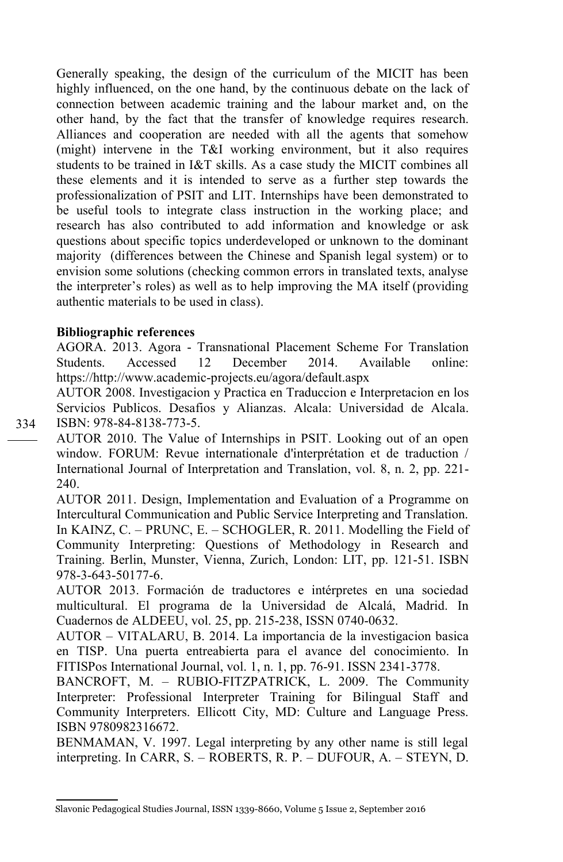Generally speaking, the design of the curriculum of the MICIT has been highly influenced, on the one hand, by the continuous debate on the lack of connection between academic training and the labour market and, on the other hand, by the fact that the transfer of knowledge requires research. Alliances and cooperation are needed with all the agents that somehow (might) intervene in the T&I working environment, but it also requires students to be trained in I&T skills. As a case study the MICIT combines all these elements and it is intended to serve as a further step towards the professionalization of PSIT and LIT. Internships have been demonstrated to be useful tools to integrate class instruction in the working place; and research has also contributed to add information and knowledge or ask questions about specific topics underdeveloped or unknown to the dominant majority (differences between the Chinese and Spanish legal system) or to envision some solutions (checking common errors in translated texts, analyse the interpreter's roles) as well as to help improving the MA itself (providing authentic materials to be used in class).

### **Bibliographic references**

AGORA. 2013. Agora - Transnational Placement Scheme For Translation Students. Accessed 12 December 2014. Available online: https://http://www.academic-projects.eu/agora/default.aspx

AUTOR 2008. Investigacion y Practica en Traduccion e Interpretacion en los Servicios Publicos. Desafios y Alianzas. Alcala: Universidad de Alcala. ISBN: 978-84-8138-773-5.

AUTOR 2010. The Value of Internships in PSIT. Looking out of an open window. FORUM: Revue internationale d'interprétation et de traduction / International Journal of Interpretation and Translation, vol. 8, n. 2, pp. 221- 240.

AUTOR 2011. Design, Implementation and Evaluation of a Programme on Intercultural Communication and Public Service Interpreting and Translation. In KAINZ, C. – PRUNC, E. – SCHOGLER, R. 2011. Modelling the Field of Community Interpreting: Questions of Methodology in Research and Training. Berlin, Munster, Vienna, Zurich, London: LIT, pp. 121-51. ISBN 978-3-643-50177-6.

AUTOR 2013. Formación de traductores e intérpretes en una sociedad multicultural. El programa de la Universidad de Alcalá, Madrid. In Cuadernos de ALDEEU, vol. 25, pp. 215-238, ISSN 0740-0632.

AUTOR – VITALARU, B. 2014. La importancia de la investigacion basica en TISP. Una puerta entreabierta para el avance del conocimiento. In FITISPos International Journal, vol. 1, n. 1, pp. 76-91. ISSN 2341-3778.

BANCROFT, M. – RUBIO-FITZPATRICK, L. 2009. The Community Interpreter: Professional Interpreter Training for Bilingual Staff and Community Interpreters. Ellicott City, MD: Culture and Language Press. ISBN 9780982316672.

BENMAMAN, V. 1997. Legal interpreting by any other name is still legal interpreting. In CARR, S. – ROBERTS, R. P. – DUFOUR, A. – STEYN, D.

Slavonic Pedagogical Studies Journal, ISSN 1339-8660, Volume 5 Issue 2, September 2016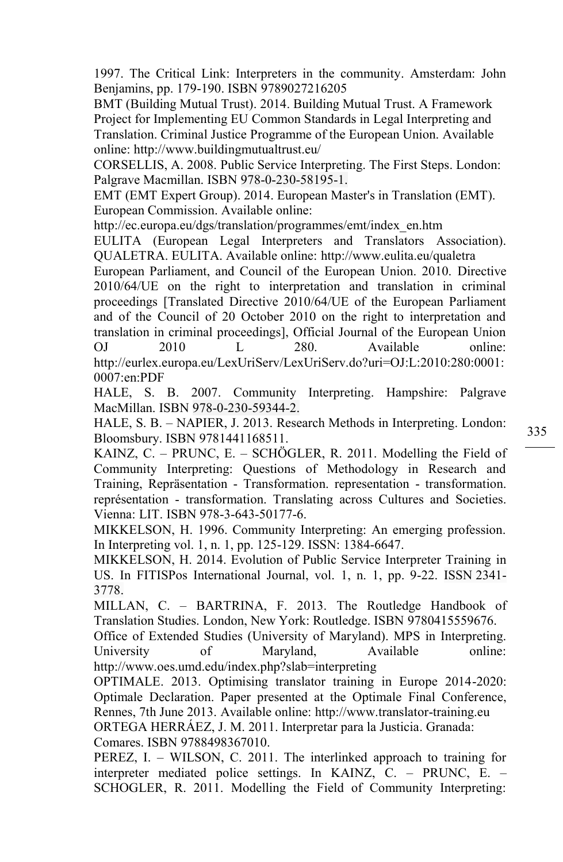1997. The Critical Link: Interpreters in the community. Amsterdam: John Benjamins, pp. 179-190. ISBN 9789027216205

BMT (Building Mutual Trust). 2014. Building Mutual Trust. A Framework Project for Implementing EU Common Standards in Legal Interpreting and Translation. Criminal Justice Programme of the European Union. Available online: http://www.buildingmutualtrust.eu/

CORSELLIS, A. 2008. Public Service Interpreting. The First Steps. London: Palgrave Macmillan. ISBN 978-0-230-58195-1.

EMT (EMT Expert Group). 2014. European Master's in Translation (EMT). European Commission. Available online:

http://ec.europa.eu/dgs/translation/programmes/emt/index\_en.htm

EULITA (European Legal Interpreters and Translators Association). QUALETRA. EULITA. Available online: http://www.eulita.eu/qualetra

European Parliament, and Council of the European Union. 2010. Directive 2010/64/UE on the right to interpretation and translation in criminal proceedings [Translated Directive 2010/64/UE of the European Parliament and of the Council of 20 October 2010 on the right to interpretation and translation in criminal proceedings], Official Journal of the European Union OJ 2010 L 280. Available online: http://eurlex.europa.eu/LexUriServ/LexUriServ.do?uri=OJ:L:2010:280:0001: 0007:en:PDF

HALE, S. B. 2007. Community Interpreting. Hampshire: Palgrave MacMillan. ISBN 978-0-230-59344-2.

HALE, S. B. – NAPIER, J. 2013. Research Methods in Interpreting. London: Bloomsbury. ISBN 9781441168511.

KAINZ, C. – PRUNC, E. – SCHÖGLER, R. 2011. Modelling the Field of Community Interpreting: Questions of Methodology in Research and Training, Repräsentation - Transformation. representation - transformation. représentation - transformation. Translating across Cultures and Societies. Vienna: LIT. ISBN 978-3-643-50177-6.

MIKKELSON, H. 1996. Community Interpreting: An emerging profession. In Interpreting vol. 1, n. 1, pp. 125-129. ISSN: 1384-6647.

MIKKELSON, H. 2014. Evolution of Public Service Interpreter Training in US. In FITISPos International Journal, vol. 1, n. 1, pp. 9-22. ISSN 2341- 3778.

MILLAN, C. – BARTRINA, F. 2013. The Routledge Handbook of Translation Studies. London, New York: Routledge. ISBN 9780415559676.

Office of Extended Studies (University of Maryland). MPS in Interpreting. University of Maryland, Available online: http://www.oes.umd.edu/index.php?slab=interpreting

OPTIMALE. 2013. Optimising translator training in Europe 2014-2020: Optimale Declaration. Paper presented at the Optimale Final Conference, Rennes, 7th June 2013. Available online: http://www.translator-training.eu

ORTEGA HERRÁEZ, J. M. 2011. Interpretar para la Justicia. Granada: Comares. ISBN 9788498367010.

PEREZ, I. – WILSON, C. 2011. The interlinked approach to training for interpreter mediated police settings. In KAINZ, C. – PRUNC, E. – SCHOGLER, R. 2011. Modelling the Field of Community Interpreting: